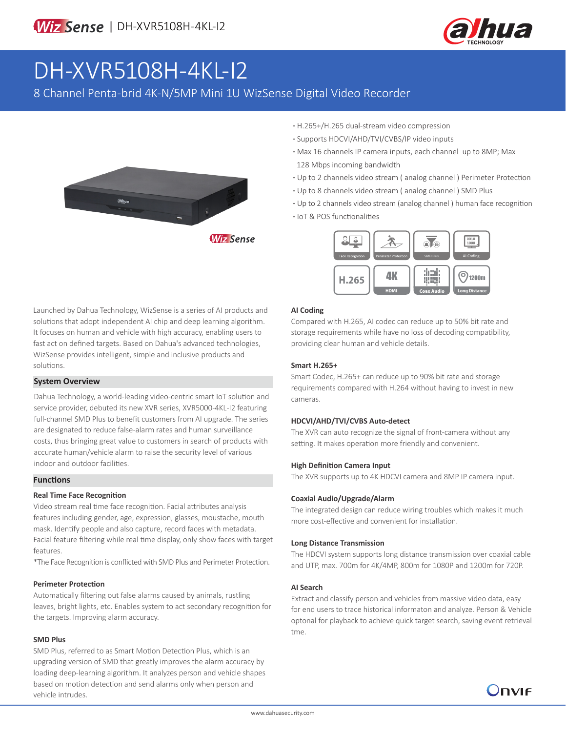

# DH-XVR5108H-4KL-I2

8 Channel Penta-brid 4K-N/5MP Mini 1U WizSense Digital Video Recorder



- **·** H.265+/H.265 dual-stream video compression
- **·** Supports HDCVI/AHD/TVI/CVBS/IP video inputs
- **·** Max 16 channels IP camera inputs, each channel up to 8MP; Max 128 Mbps incoming bandwidth
- **·** Up to 2 channels video stream ( analog channel ) Perimeter Protection
- **·** Up to 8 channels video stream ( analog channel ) SMD Plus
- **·** Up to 2 channels video stream (analog channel ) human face recognition
- **·** IoT & POS functionalities



Launched by Dahua Technology, WizSense is a series of AI products and solutions that adopt independent AI chip and deep learning algorithm. It focuses on human and vehicle with high accuracy, enabling users to fast act on defined targets. Based on Dahua's advanced technologies, WizSense provides intelligent, simple and inclusive products and solutions.

#### **System Overview**

Dahua Technology, a world-leading video-centric smart IoT solution and service provider, debuted its new XVR series, XVR5000-4KL-I2 featuring full-channel SMD Plus to benefit customers from AI upgrade. The series are designated to reduce false-alarm rates and human surveillance costs, thus bringing great value to customers in search of products with accurate human/vehicle alarm to raise the security level of various indoor and outdoor facilities.

#### **Functions**

#### **Real Time Face Recognition**

Video stream real time face recognition. Facial attributes analysis features including gender, age, expression, glasses, moustache, mouth mask. Identify people and also capture, record faces with metadata. Facial feature filtering while real time display, only show faces with target features.

\*The Face Recognition is conflicted with SMD Plus and Perimeter Protection.

#### **Perimeter Protection**

Automatically filtering out false alarms caused by animals, rustling leaves, bright lights, etc. Enables system to act secondary recognition for the targets. Improving alarm accuracy.

#### **SMD Plus**

SMD Plus, referred to as Smart Motion Detection Plus, which is an upgrading version of SMD that greatly improves the alarm accuracy by loading deep-learning algorithm. It analyzes person and vehicle shapes based on motion detection and send alarms only when person and vehicle intrudes.

#### **AI Coding**

Compared with H.265, AI codec can reduce up to 50% bit rate and storage requirements while have no loss of decoding compatibility, providing clear human and vehicle details.

#### **Smart H.265+**

Smart Codec, H.265+ can reduce up to 90% bit rate and storage requirements compared with H.264 without having to invest in new cameras.

#### **HDCVI/AHD/TVI/CVBS Auto-detect**

The XVR can auto recognize the signal of front-camera without any setting. It makes operation more friendly and convenient.

#### **High Definition Camera Input**

The XVR supports up to 4K HDCVI camera and 8MP IP camera input.

#### **Coaxial Audio/Upgrade/Alarm**

The integrated design can reduce wiring troubles which makes it much more cost-effective and convenient for installation.

#### **Long Distance Transmission**

The HDCVI system supports long distance transmission over coaxial cable and UTP, max. 700m for 4K/4MP, 800m for 1080P and 1200m for 720P.

#### **AI Search**

Extract and classify person and vehicles from massive video data, easy for end users to trace historical informaton and analyze. Person & Vehicle optonal for playback to achieve quick target search, saving event retrieval tme.

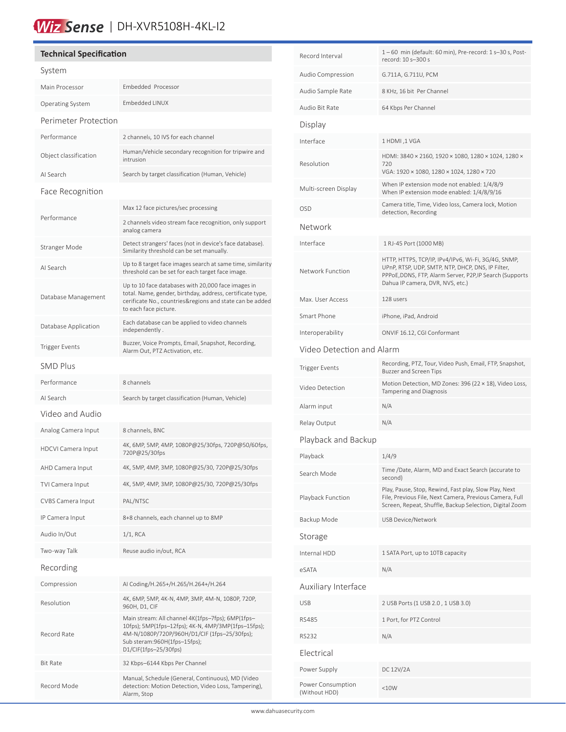# Wiz Sense | DH-XVR5108H-4KL-I2

## **Technical Specification** System Main Processor Embedded Processor Operating System Embedded LINUX Perimeter Protection Performance 2 channels, 10 IVS for each channel Object classification Human/Vehicle secondary recognition for tripwire and intrusion AI Search Search by target classification (Human, Vehicle) Face Recognition Performance Max 12 face pictures/sec processing 2 channels video stream face recognition, only support analog camera Stranger Mode Detect strangers' faces (not in device's face database). Similarity threshold can be set manually. AI Search Up to 8 target face images search at same time, similarity threshold can be set for each target face image. Database Management Up to 10 face databases with 20,000 face images in total. Name, gender, birthday, address, certificate type, cerificate No., countries&regions and state can be added to each face picture. Database Application Each database can be applied to video channels independently . Trigger Events<br>Alarm Out, BTZ Astivation ate Alarm Out, PTZ Activation, etc. SMD Plus Performance 8 channels AI Search Search by target classification (Human, Vehicle) Video and Audio Analog Camera Input 8 channels, BNC HDCVI Camera Input 4K, 6MP, 5MP, 4MP, 1080P@25/30fps, 720P@50/60fps, 720P@25/30fps AHD Camera Input 4K, 5MP, 4MP, 3MP, 1080P@25/30, 720P@25/30fps TVI Camera Input 4K, 5MP, 4MP, 3MP, 1080P@25/30, 720P@25/30fps CVBS Camera Input PAL/NTSC IP Camera Input 8+8 channels, each channel up to 8MP Audio In/Out 1/1, RCA Two-way Talk Reuse audio in/out, RCA Recording Compression AI Coding/H.265+/H.265/H.264+/H.264 Resolution 4K, 6MP, 5MP, 4K-N, 4MP, 3MP, 4M-N, 1080P, 720P, 960H, D1, CIF Record Rate Main stream: All channel 4K(1fps–7fps); 6MP(1fps– 10fps); 5MP(1fps–12fps); 4K-N, 4MP/3MP(1fps–15fps); 4M-N/1080P/720P/960H/D1/CIF (1fps–25/30fps); Sub steram:960H(1fps–15fps); D1/CIF(1fps–25/30fps) Bit Rate 32 Kbps–6144 Kbps Per Channel Record Mode Manual, Schedule (General, Continuous), MD (Video detection: Motion Detection, Video Loss, Tampering), Alarm, Stop

í

| Record Interval                    | 1-60 min (default: 60 min), Pre-record: 1 s-30 s, Post-<br>record: 10 s-300 s                                                                                                                            |  |  |  |  |  |
|------------------------------------|----------------------------------------------------------------------------------------------------------------------------------------------------------------------------------------------------------|--|--|--|--|--|
| Audio Compression                  | G.711A, G.711U, PCM                                                                                                                                                                                      |  |  |  |  |  |
| Audio Sample Rate                  | 8 KHz, 16 bit Per Channel                                                                                                                                                                                |  |  |  |  |  |
| Audio Bit Rate                     | 64 Kbps Per Channel                                                                                                                                                                                      |  |  |  |  |  |
| Display                            |                                                                                                                                                                                                          |  |  |  |  |  |
| Interface                          | 1 HDMI, 1 VGA                                                                                                                                                                                            |  |  |  |  |  |
| Resolution                         | HDMI: 3840 × 2160, 1920 × 1080, 1280 × 1024, 1280 ×<br>720<br>VGA: 1920 × 1080, 1280 × 1024, 1280 × 720                                                                                                  |  |  |  |  |  |
| Multi-screen Display               | When IP extension mode not enabled: 1/4/8/9<br>When IP extension mode enabled: 1/4/8/9/16                                                                                                                |  |  |  |  |  |
| <b>OSD</b>                         | Camera title, Time, Video loss, Camera lock, Motion<br>detection, Recording                                                                                                                              |  |  |  |  |  |
| Network                            |                                                                                                                                                                                                          |  |  |  |  |  |
| Interface                          | 1 RJ-45 Port (1000 MB)                                                                                                                                                                                   |  |  |  |  |  |
| Network Function                   | HTTP, HTTPS, TCP/IP, IPv4/IPv6, Wi-Fi, 3G/4G, SNMP,<br>UPnP, RTSP, UDP, SMTP, NTP, DHCP, DNS, IP Filter,<br>PPPoE, DDNS, FTP, Alarm Server, P2P, IP Search (Supports<br>Dahua IP camera, DVR, NVS, etc.) |  |  |  |  |  |
| Max. User Access                   | 128 users                                                                                                                                                                                                |  |  |  |  |  |
| Smart Phone                        | iPhone, iPad, Android                                                                                                                                                                                    |  |  |  |  |  |
| Interoperability                   | ONVIF 16.12, CGI Conformant                                                                                                                                                                              |  |  |  |  |  |
| Video Detection and Alarm          |                                                                                                                                                                                                          |  |  |  |  |  |
| <b>Trigger Events</b>              | Recording, PTZ, Tour, Video Push, Email, FTP, Snapshot,<br><b>Buzzer and Screen Tips</b>                                                                                                                 |  |  |  |  |  |
| Video Detection                    | Motion Detection, MD Zones: 396 (22 × 18), Video Loss,<br>Tampering and Diagnosis                                                                                                                        |  |  |  |  |  |
| Alarm input                        | N/A                                                                                                                                                                                                      |  |  |  |  |  |
| Relay Output                       | N/A                                                                                                                                                                                                      |  |  |  |  |  |
| Playback and Backup                |                                                                                                                                                                                                          |  |  |  |  |  |
| Playback                           | 1/4/9                                                                                                                                                                                                    |  |  |  |  |  |
| Search Mode                        | Time /Date, Alarm, MD and Exact Search (accurate to<br>second)                                                                                                                                           |  |  |  |  |  |
| Playback Function                  | Play, Pause, Stop, Rewind, Fast play, Slow Play, Next<br>File, Previous File, Next Camera, Previous Camera, Full<br>Screen, Repeat, Shuffle, Backup Selection, Digital Zoom                              |  |  |  |  |  |
| Backup Mode                        | USB Device/Network                                                                                                                                                                                       |  |  |  |  |  |
| Storage                            |                                                                                                                                                                                                          |  |  |  |  |  |
| Internal HDD                       | 1 SATA Port, up to 10TB capacity                                                                                                                                                                         |  |  |  |  |  |
| eSATA                              | N/A                                                                                                                                                                                                      |  |  |  |  |  |
| Auxiliary Interface                |                                                                                                                                                                                                          |  |  |  |  |  |
| <b>USB</b>                         | 2 USB Ports (1 USB 2.0, 1 USB 3.0)                                                                                                                                                                       |  |  |  |  |  |
| <b>RS485</b>                       | 1 Port, for PTZ Control                                                                                                                                                                                  |  |  |  |  |  |
| <b>RS232</b>                       | N/A                                                                                                                                                                                                      |  |  |  |  |  |
| Electrical                         |                                                                                                                                                                                                          |  |  |  |  |  |
| Power Supply                       | DC 12V/2A                                                                                                                                                                                                |  |  |  |  |  |
| Power Consumption<br>(Without HDD) | <10W                                                                                                                                                                                                     |  |  |  |  |  |